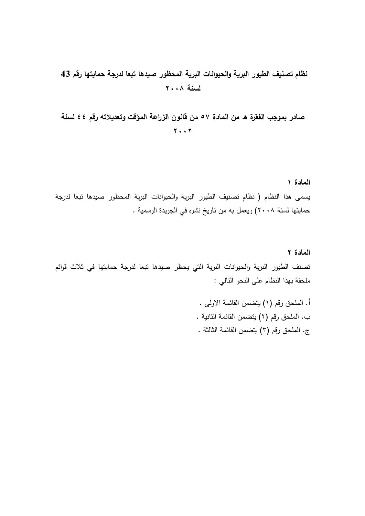#### **نظام تصنيف الطيور البرية والحيوانات البرية المحظور صيدها تبعا لدرجة حمايتها رقم 43 لسنة 2002**

**صادر بموجب الفقرة ه من المادة 55 من قانون الزراعة المؤقت وتعديالته رقم 44 لسنة 2002**

**المادة 1** يسمى ىذا النظام ) نظام تصنيف الطيور البرية والحيوانات البرية المحظور صيدىا تبعا لدرجة حمايتها لسنة ٢٠٠٨) ويعمل به من تاريخ نشره في الجريدة الرسمية .

**المادة 2** تصنف الطيور البرية والحيوانات البرية التي يحظر صيدىا تبعا لدرجة حمايتيا في ثالث قوائم ممحقة بيذا النظام عمى النحو التالي :

> أ. الملحق رقم (١) يتضمن القائمة الاولى . ب. الملحق رقم (٢) يتضمن القائمة الثانية . ج. الملحق رقم (٣) يتضمن القائمة الثالثة .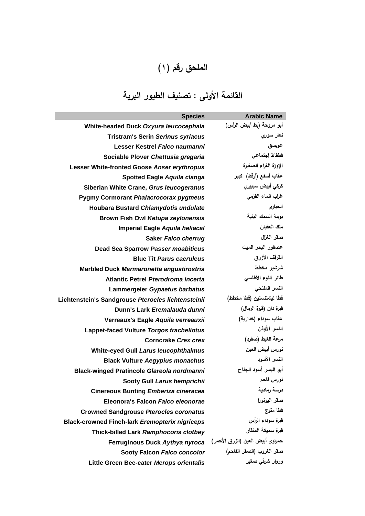## ا**لملحق رقم (۱)**

# **القائمة األولى : تصنيف الطيور البرية**

| <b>Species</b>                                        | <b>Arabic Name</b>               |
|-------------------------------------------------------|----------------------------------|
| White-headed Duck Oxyura leucocephala                 | أبو مروحة (بط أبيض الرأس)        |
| <b>Tristram's Serin Serinus syriacus</b>              | نعار سوري                        |
| Lesser Kestrel Falco naumanni                         | عويسق                            |
| Sociable Plover Chettusia gregaria                    | قطقاط إجتماعي                    |
| Lesser White-fronted Goose Anser erythropus           | الإوزة الغراء الصغيرة            |
| <b>Spotted Eagle Aquila clanga</b>                    | عقاب أسفع (أرقط) كبير            |
| Siberian White Crane, Grus leucogeranus               | كركى أبيض سيبيري                 |
| <b>Pygmy Cormorant Phalacrocorax pygmeus</b>          | غراب الماء القزمى                |
| Houbara Bustard Chlamydotis undulate                  | الحبارى                          |
| <b>Brown Fish Owl Ketupa zeylonensis</b>              | بومة السمك البنية                |
| Imperial Eagle Aquila heliacal                        | ملك العقبان                      |
| <b>Saker Falco cherrug</b>                            | صقر الغزال                       |
| <b>Dead Sea Sparrow Passer moabiticus</b>             | عصفور البحر الميت                |
| <b>Blue Tit Parus caeruleus</b>                       | القرقف الأزرق                    |
| <b>Marbled Duck Marmaronetta angustirostris</b>       | شرشير مخطط                       |
| Atlantic Petrel Pterodroma incerta                    | طائر النوء الأطلسى               |
| Lammergeier Gypaetus barbatus                         | النسر الملتحى                    |
| Lichtenstein's Sandgrouse Pterocles lichtensteinii    | قطا ليشتنستين (قطا مخطط)         |
| Dunn's Lark Eremalauda dunni                          | قبرة دان (قبرة الرمال)           |
| Verreaux's Eagle Aquila verreauxii                    | عقاب سوداء (خدارية)              |
| Lappet-faced Vulture Torgos tracheliotus              | النسر الأوذن                     |
| <b>Corncrake Crex crex</b>                            | مرعة الغيط (صفرد)                |
| <b>White-eyed Gull Larus leucophthalmus</b>           | نورس أبيض العين                  |
| <b>Black Vulture Aegypius monachus</b>                | النسر الأسود                     |
| <b>Black-winged Pratincole Glareola nordmanni</b>     | أبو اليسر أسود الجناح            |
| Sooty Gull Larus hemprichii                           | نورس فاحم                        |
| <b>Cinereous Bunting Emberiza cineracea</b>           | درسة رمادية                      |
| Eleonora's Falcon Falco eleonorae                     | صقر اليونورا                     |
| <b>Crowned Sandgrouse Pterocles coronatus</b>         | قطا متوج                         |
| <b>Black-crowned Finch-lark Eremopterix nigriceps</b> | قبرة سوداء الرأس                 |
| Thick-billed Lark Ramphocoris clotbey                 | قبرة سميكة المنقار               |
| Ferruginous Duck Aythya nyroca                        | حمراوي أبيض العين (الزرق الأحمر) |
| Sooty Falcon Falco concolor                           | صقر الغروب (الصقر الفاحم)        |
| Little Green Bee-eater Merops orientalis              | وروار شرق <i>ی</i> صغیر          |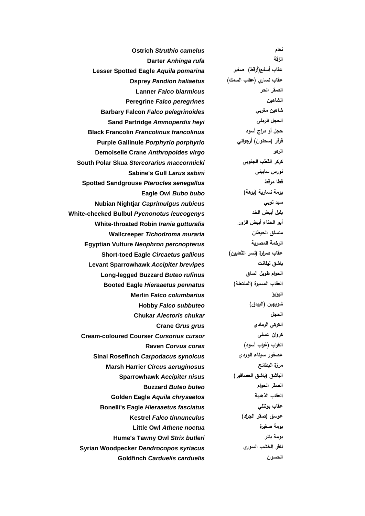**Ostrich** *Struthio camelus* **نعام Darter** *Anhinga rufa* **الزقة Lesser Spotted Eagle** *Aquila pomarina* **صغير( أرقط)أسفع عقاب عقاب نساري )عقاب السمك(** *haliaetus Pandion* **Osprey Lanner** *Falco biarmicus* **الحر الصقر Peregrine** *Falco peregrines* **الشاهين Barbary Falcon** *Falco pelegrinoides* **مغربي شاهين Sand Partridge** *Ammoperdix heyi* **الرممي الحجل حجل أو دراج أسود** *francolinus Francolinus* **Francolin Black Purple Gallinule** *Porphyrio porphyrio* **أرجواني( سحنون )فرفر Demoiselle Crane** *Anthropoides virgo* **الرهو South Polar Skua** *Stercorarius maccormicki* **الجنوبي القطب كركر Sabine's Gull** *Larus sabini* **سابيني نورس Spotted Sandgrouse** *Pterocles senegallus* **مرقط قطا Eagle Owl** *Bubo bubo* **)بوهة )نسارية بومة Nubian Nightjar** *Caprimulgus nubicus* **نوبي سبد White-cheeked Bulbul** *Pycnonotus leucogenys* **الخد أبيض بمبل White-throated Robin** *Irania gutturalis* **الزور أبيض الحناء أبو Wallcreeper** *Tichodroma muraria* **الحيطان متسمق Egyptian Vulture** *Neophron percnopterus* **المصرية الرخمة Short-toed Eagle** *Circaetus gallicus* **)الثعابين نسر )صرارة عقاب Levant Sparrowhawk** *Accipiter brevipes* **ليفانت باشق Long-legged Buzzard** *Buteo rufinus* **الساق طويل الحوام Booted Eagle** *Hieraaetus pennatus* **)المنتعمة )المسيرة العقاب Merlin** *Falco columbarius* **اليؤيؤ Hobby** *Falco subbuteo* **)البيدق )شويهين Chukar** *Alectoris chukar* **الحجل Crane** *Grus grus* **الرمادي الكركي Cream-coloured Courser** *Cursorius cursor* **عسمي كروان الغراب )غراب أسود(** *corax Corvus* **Raven Sinai Rosefinch** *Carpodacus synoicus* **الوردي سيناء عصفور Marsh Harrier** *Circus aeruginosus* **البطائح مرزة الباشق )باشق العصافير(** *nisus Accipiter* **Sparrowhawk Buzzard** *Buteo buteo* **الحوام الصقر Golden Eagle** *Aquila chrysaetos* **الذهبية العقاب Bonelli's Eagle** *Hieraaetus fasciatus* **بونممي عقاب عوسق )صقر الجراد(** *tinnunculus Falco* **Kestrel Little Owl** *Athene noctua* **صغيرة بومة Hume's Tawny Owl** *Strix butleri* **بتمر بومة Syrian Woodpecker** *Dendrocopos syriacus* **السوري الخشب ناقر Goldfinch** *Carduelis carduelis* **الحسون**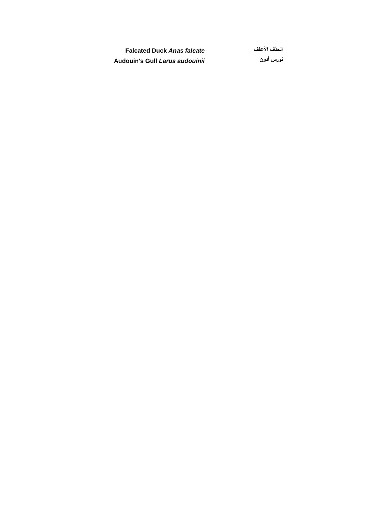**Falcated Duck** *Anas falcate* **األعقف الحذف Audouin's Gull** *Larus audouinii* **أدون نورس**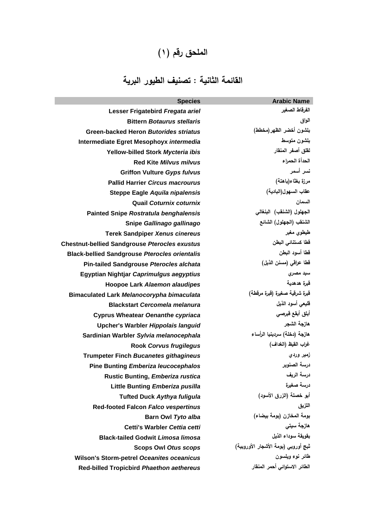### ا**لملحق رقم (۱)**

### **القائمة الثانية : تصنيف الطيور البرية**

| <b>Species</b>                                       | <b>Arabic Name</b>                  |
|------------------------------------------------------|-------------------------------------|
| Lesser Frigatebird Fregata ariel                     | الفرقاط الصغير                      |
| <b>Bittern Botaurus stellaris</b>                    | الواق                               |
| <b>Green-backed Heron Butorides striatus</b>         | بلشون أخضر الظهر(مخطط)              |
| Intermediate Egret Mesophoyx intermedia              | بلشون متوسط                         |
| Yellow-billed Stork Mycteria ibis                    | لقلق أصفر المنقار                   |
| <b>Red Kite Milvus milvus</b>                        | الحدأة الحمراء                      |
| <b>Griffon Vulture Gyps fulvus</b>                   | نسر أسمر                            |
| <b>Pallid Harrier Circus macrourus</b>               | مرزة بغثاء(باهتة)                   |
| Steppe Eagle Aquila nipalensis                       | عقاب السهول(البادية)                |
| <b>Quail Coturnix coturnix</b>                       | السمان                              |
| <b>Painted Snipe Rostratula benghalensis</b>         | الجهلول (الشنقب) البنغالي           |
| Snipe Gallinago gallinago                            | الشنقب (الجهلول) الشائع             |
| <b>Terek Sandpiper Xenus cinereus</b>                | طیطوی مغبر                          |
| <b>Chestnut-bellied Sandgrouse Pterocles exustus</b> | قطا كستنائي البطن                   |
| <b>Black-bellied Sandgrouse Pterocles orientalis</b> | قطا أسود البطن                      |
| <b>Pin-tailed Sandgrouse Pterocles alchata</b>       | قطا عراقي (مسنن الذيل)              |
| Egyptian Nightjar Caprimulgus aegyptius              | سبد مصری                            |
| <b>Hoopoe Lark Alaemon alaudipes</b>                 | قبرة هدهدية                         |
| Bimaculated Lark Melanocorypha bimaculata            | قبرة شرقية صغيرة (قبرة مرقطة)       |
| <b>Blackstart Cercomela melanura</b>                 | قليعي أسود الذيل                    |
| <b>Cyprus Wheatear Oenanthe cypriaca</b>             | أبلق أبقع قبرصي                     |
| Upcher's Warbler Hippolais languid                   | هازجة الشجر                         |
| Sardinian Warbler Sylvia melanocephala               | هازجة (دخلة) سردينيا الرأساء        |
| <b>Rook Corvus frugilegus</b>                        | غراب القيظ (الغداف)                 |
| <b>Trumpeter Finch Bucanetes githagineus</b>         | زمير وردى                           |
| <b>Pine Bunting Emberiza leucocephalos</b>           | درسة الصنوير                        |
| <b>Rustic Bunting, Emberiza rustica</b>              | درسة الريف                          |
| Little Bunting Emberiza pusilla                      | درسة صغيرة                          |
| <b>Tufted Duck Aythya fuligula</b>                   | أبو خصلة (الزرق الأسود)             |
| <b>Red-footed Falcon Falco vespertinus</b>           | اللزيق                              |
| Barn Owl Tyto alba                                   | بومة المخازن (بومة بيضاء)           |
| Cetti's Warbler Cettia cetti                         | هازجة سيتى                          |
| <b>Black-tailed Godwit Limosa limosa</b>             | بقويقة سوداء الذيل                  |
| <b>Scops Owl Otus scops</b>                          | ثبج أوروبي (بومة الأشجار الأوروبية) |
| <b>Wilson's Storm-petrel Oceanites oceanicus</b>     | طائر نوء ويلسون                     |
| Red-billed Tropicbird Phaethon aethereus             | الطائر الاستوائى أحمر المنقار       |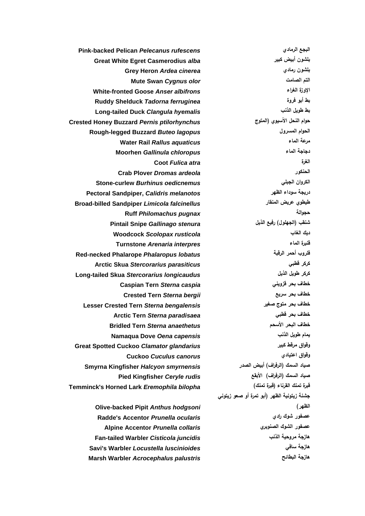**Grey Heron** *Ardea cinerea* **رمادي بمشون Mute Swan** *Cygnus olor* **الصامت التم Coot** *Fulica atra* **الغرة Ruff** *Philomachus pugnax* **حجوالة Cuckoo** *Cuculus canorus* **اعتيادي وقواق جشنة زيتونية الظهر )أبو تمرة أو صعو زيتوني الظهر(**

**Pink-backed Pelican** *Pelecanus rufescens* **الرمادي البجع Great White Egret Casmerodius** *alba* **كبير أبيض بمشون White-fronted Goose** *Anser albifrons* **الغراء اإلوزة Ruddy Shelduck** *Tadorna ferruginea* **فروة أبو بط Long-tailed Duck** *Clangula hyemalis* **الذنب طويل بط Crested Honey Buzzard** *Pernis ptilorhynchus* **المتوج )اآلسيوي النحل حوام Rough-legged Buzzard** *Buteo lagopus* **المسرول الحوام Water Rail** *Rallus aquaticus* **الماء مرعة Moorhen** *Gallinula chloropus* **الماء دجاجة Crab Plover** *Dromas ardeola* **الحنكور Stone-curlew** *Burhinus oedicnemus* **الجبمي الكروان Pectoral Sandpiper,** *Calidris melanotos* **الظهر سوداء دريجة Broad-billed Sandpiper** *Limicola falcinellus* **المنقار عريض طيطوي شنقب )الجهمول( رفيع الذيل** *stenura Gallinago* **Snipe Pintail Woodcock** *Scolopax rusticola* **الغاب ديك Turnstone** *Arenaria interpres* **الماء قنبرة Red-necked Phalarope** *Phalaropus lobatus* **الرقبة أحمر فمروب Arctic Skua** *Stercorarius parasiticus* **قطبي كركر Long-tailed Skua** *Stercorarius longicaudus* **الذيل طويل كركر Caspian Tern** *Sterna caspia* **قزويني بحر خطاف Crested Tern** *Sterna bergii* **سريع بحر خطاف Lesser Crested Tern** *Sterna bengalensis* **صغير متوج بحر خطاف Arctic Tern** *Sterna paradisaea* **قطبي بحر خطاف Bridled Tern** *Sterna anaethetus* **األسحم البحر خطاف Namaqua Dove** *Oena capensis* **الذنب طويل يمام Great Spotted Cuckoo** *Clamator glandarius* **كبير مرقط وقواق صياد السمك )الرفراف( أبيض الصدر** *smyrnensis Halcyon* **Kingfisher Smyrna صياد السمك )الرفراف( األبقع** *rudis Ceryle* **Kingfisher Pied Temminck's Horned Lark** *Eremophila bilopha* **)تمنك قبرة )القرناء تمنك قبرة**

**Olive-backed Pipit** *Anthus hodgsoni* **Radde's Accentor** *Prunella ocularis* **رادي شوك عصفور Alpine Accentor** *Prunella collaris* **الصنوبري الشوك عصفور Fan-tailed Warbler** *Cisticola juncidis* **الذنب مروحية هازجة Savi's Warbler** *Locustella luscinioides* **سافي هازجة Marsh Warbler** *Acrocephalus palustris* **البطائح هازجة**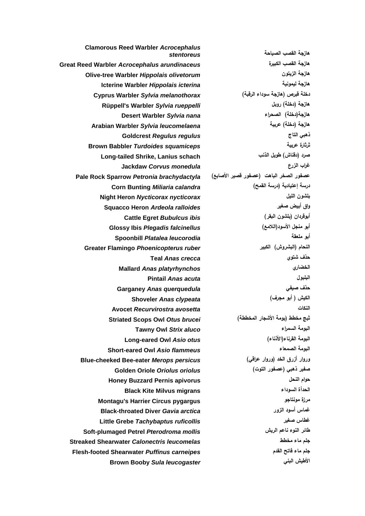**هازجة القصب الصياحة** *stentoreus* **Desert Warbler** *Sylvia nana* **الصحراء( دخمة)هازجة Goldcrest** *Regulus regulus* **التاج ذهبي Jackdaw** *Corvus monedula* **الزرع غراب Cattle Egret** *Bubulcus ibis* **)البقر بمشون )أبوقردان Teal** *Anas crecca* **شتوي حذف Mallard** *Anas platyrhynchos* **الخضاري Pintail** *Anas acuta* **البمبول Garganey** *Anas querquedula* **صيفي حذف الكيش ) أبو مجرف(** *clypeata Anas* **Shoveler Tawny Owl** *Strix aluco* **السمراء البومة Long-eared Owl** *Asio otus* **)األذناء)القرناء البومة Black Kite Milvus migrans السوداء الحدأة**

**Clamorous Reed Warbler** *Acrocephalus*  **Great Reed Warbler** *Acrocephalus arundinaceus* **الكبيرة القصب هازجة Olive-tree Warbler** *Hippolais olivetorum* **الزيتون هازجة Icterine Warbler** *Hippolais icterina* **ليمونية هازجة دخمة قبرص )هازجة سوداء الرقبة(** *melanothorax Sylvia* **Warbler Cyprus Rüppell's Warbler** *Sylvia rueppelli* **روبل( دخمة )هازجة Arabian Warbler** *Sylvia leucomelaena* **عربية( دخمة )هازجة Brown Babbler** *Turdoides squamiceps* **عربية ثرثارة Long-tailed Shrike, Lanius schach الذنب طويل( دقناش )صرد عصفور الصخر الباهت )عصفور قصير األصابع(** *brachydactyla Petronia* **Sparrow Rock Pale درسة إعتيادية )درسة القمح(** *calandra Miliaria* **Bunting Corn Night Heron** *Nycticorax nycticorax* **الميل بمشون Squacco Heron** *Ardeola ralloides* **صغير أبيض واق أبو منجل األسود)الالمع(** *falcinellus Plegadis* **Ibis Glossy Spoonbill** *Platalea leucorodia* **ممعقة أبو Greater Flamingo** *Phoenicopterus ruber* **الكبير( البشروش )النحام Avocet** *Recurvirostra avosetta* **النكات ثبج مخطط )بومة األشجار المخططة(** *brucei Otus* **Owl Scops Striated Short-eared Owl** *Asio flammeus* **الصمعاء البومة Blue-cheeked Bee-eater** *Merops persicus* **)عراقي وروار )الخد أزرق وروار صفير ذهبي )عصفور التوت(** *oriolus Oriolus* **Oriole Golden Honey Buzzard Pernis apivorus النحل حوام Montagu's Harrier Circus pygargus مونتاجو مرزة Black-throated Diver** *Gavia arctica* **الزور أسود غماس Little Grebe** *Tachybaptus ruficollis* **صغير غطاس Soft-plumaged Petrel** *Pterodroma mollis* **الريش ناعم النوء طائر Streaked Shearwater** *Calonectris leucomelas* **مخطط ماء جمم Flesh-footed Shearwater** *Puffinus carneipes* **القدم فاتح ماء جمم Brown Booby** *Sula leucogaster* **البني األطيش**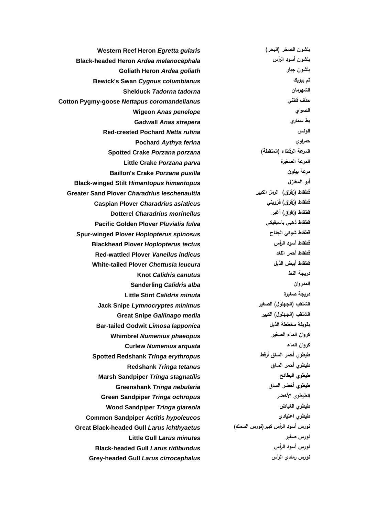**Knot** *Calidris canutus* **النط دريجة**

**Western Reef Heron** *Egretta gularis* **)البحر )الصخر بمشون Black-headed Heron** *Ardea melanocephala* **الرأس أسود بمشون Goliath Heron** *Ardea goliath* **جبار بمشون Bewick's Swan** *Cygnus columbianus* **بيويك تم Shelduck** *Tadorna tadorna* **الشهرمان Cotton Pygmy-goose** *Nettapus coromandelianus* **قطني حذف Wigeon** *Anas penelope* **الصواي Gadwall** *Anas strepera* **سماري بط Red-crested Pochard** *Netta rufina* **الونس Pochard** *Aythya ferina* **حمراوي Spotted Crake** *Porzana porzana* **)المنقطة )الرقطاء المرعة Little Crake** *Porzana parva* **الصغيرة المرعة Baillon's Crake** *Porzana pusilla* **بيمون مرعة Black-winged Stilt** *Himantopus himantopus* **المغازل أبو Greater Sand Plover** *Charadrius leschenaultia* **الكبير الرمل( زقزاق )قطقاط Caspian Plover** *Charadrius asiaticus* **قزويني( زقزاق )قطقاط قطقاط )زقزاق( أغبر** *morinellus Charadrius* **Dotterel Pacific Golden Plover** *Pluvialis fulva* **باسيفيكي ذهبي قطقاط Spur-winged Plover** *Hoplopterus spinosus* **الجناح شوكي قطقاط Blackhead Plover** *Hoplopterus tectus* **الرأس أسود قطقاط Red-wattled Plover** *Vanellus indicus* **المغد أحمر قطقاط White-tailed Plover** *Chettusia leucura* **الذيل أبيض قطقاط Sanderling** *Calidris alba* **المدروان Little Stint** *Calidris minuta* **صغيرة دريجة Jack Snipe** *Lymnocryptes minimus* **الصغير( الجهمول )الشنقب Great Snipe** *Gallinago media* **الكبير( الجهمول )الشنقب Bar-tailed Godwit** *Limosa lapponica* **الذيل مخططة بقويقة كروان الماء الصغير** *phaeopus Numenius* **Whimbrel Curlew** *Numenius arquata* **الماء كروان طيطوي أحمر الساق أرقط** *erythropus Tringa* **Redshank Spotted طيطوي أحمر الساق** *tetanus Tringa* **Redshank Marsh Sandpiper** *Tringa stagnatilis* **البطائح طيطوي طيطوي أخضر الساق** *nebularia Tringa* **Greenshank Green Sandpiper** *Tringa ochropus* **األخضر الطيطوي Wood Sandpiper** *Tringa glareola* **الغياض طيطوي Common Sandpiper** *Actitis hypoleucos* **اعتيادي طيطوي نورس أسود الرأس كبير)نورس السمك(** *ichthyaetus Larus* **Gull headed-Black Great Little Gull** *Larus minutes* **صغير نورس Black-headed Gull** *Larus ridibundus* **الرأس أسود نورس Grey-headed Gull** *Larus cirrocephalus* **الرأس رمادي نورس**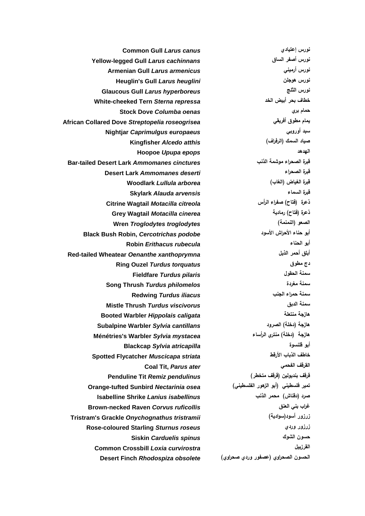**Common Gull** *Larus canus* **إعتيادي نورس Hoopoe** *Upupa epops* **الهدهد Fieldfare** *Turdus pilaris* **الحقول سمنة Coal Tit,** *Parus ater* **الفحمي القرقف**

**Yellow-legged Gull** *Larus cachinnans* **الساق أصفر نورس Armenian Gull** *Larus armenicus* **أرميني نورس Heuglin's Gull** *Larus heuglini* **هوجمن نورس Glaucous Gull** *Larus hyperboreus* **الثمج نورس White-cheeked Tern** *Sterna repressa* **الخد أبيض بحر خطاف Stock Dove** *Columba oenas* **بري حمام African Collared Dove** *Streptopelia roseogrisea* **أفريقي مطوق يمام Nightjar** *Caprimulgus europaeus* **أوروبي سبد صياد السمك )الرفراف(** *atthis Alcedo* **Kingfisher Bar-tailed Desert Lark** *Ammomanes cinctures* **الذنب موشمة الصحراء قبرة Desert Lark** *Ammomanes deserti* **الصحراء قبرة قبرة الغياض )الغاب(** *arborea Lullula* **Woodlark Skylark** *Alauda arvensis* **السماء قبرة ذعرة )فتاح( صفراء الرأس** *citreola Motacilla* **Wagtail Citrine Grey Wagtail** *Motacilla cinerea* **رمادية( فتاح )ذعرة Wren** *Troglodytes troglodytes* **)النمنمة )الصعو Black Bush Robin,** *Cercotrichas podobe* **األسود األحراش حناء أبو Robin** *Erithacus rubecula* **الحناء أبو Red-tailed Wheatear** *Oenanthe xanthoprymna* **الذيل أحمر أبمق Ring Ouzel** *Turdus torquatus* **مطوق دج Song Thrush** *Turdus philomelos* **مغردة سمنة سمنة حمراء الجنب** *iliacus Turdus* **Redwing Mistle Thrush** *Turdus viscivorus* **الدبق سمنة Booted Warbler** *Hippolais caligata* **منتعمة هازجة Subalpine Warbler** *Sylvia cantillans* **الصرود( دخمة )هازجة Ménétries's Warbler** *Sylvia mystacea* **الرأساء منتري( دخمة )هازجة Blackcap** *Sylvia atricapilla* **قمنسوة أبو Spotted Flycatcher** *Muscicapa striata* **األرقط الذباب خاطف قرقف بنديولين )قرقف متخطر(** *pendulinus Remiz* **Tit Penduline تمير فمسطيني )أبو الزهور الفمسطيني(** *osea Nectarinia* **Sunbird tufted-Orange صرد )دقناش( محمر الذنب** *isabellinus Lanius* **Shrike Isabelline Brown-necked Raven** *Corvus ruficollis* **العنق بني غراب Tristram's Grackle** *Onychognathus tristramii* **)سوادية)أسود زرزور Rose-coloured Starling** *Sturnus roseus* **وردي زرزور Siskin** *Carduelis spinus* **الشوك حسون Common Crossbill** *Loxia curvirostra* **القرزبيل الحسون الصحراوي )عصفور وردي صحراوي(** *obsolete Rhodospiza* **Finch Desert**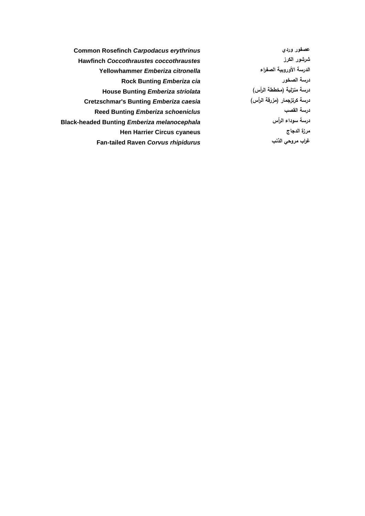**Common Rosefinch** *Carpodacus erythrinus* **وردي عصفور Hawfinch** *Coccothraustes coccothraustes* **الكرز شرشور الدرسة األوروبية الصفراء** *citronella Emberiza* **Yellowhammer Rock Bunting** *Emberiza cia* **الصخور درسة درسة منزلية )مخططة الرأس(** *striolata Emberiza* **Bunting House Cretzschmar's Bunting** *Emberiza caesia* **)الرأس مزرقة )كرتزجمار درسة Reed Bunting** *Emberiza schoeniclus* **القصب درسة Black-headed Bunting** *Emberiza melanocephala* **الرأس سوداء درسة Hen Harrier Circus cyaneus الدجاج مرزة Fan-tailed Raven** *Corvus rhipidurus* **الذنب مروحي غراب**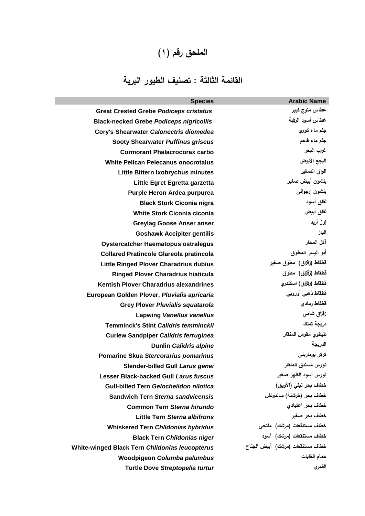#### ا**لملحق رقم (۱)**

### **القائمة الثالثة : تصنيف الطيور البرية**

| <b>Species</b>                                 | <b>Arabic Name</b>               |
|------------------------------------------------|----------------------------------|
| <b>Great Crested Grebe Podiceps cristatus</b>  | غطاس متوج كبير                   |
| <b>Black-necked Grebe Podiceps nigricollis</b> | غطاس أسود الرقبة                 |
| Cory's Shearwater Calonectris diomedea         | جلم ماء كوري                     |
| <b>Sooty Shearwater Puffinus griseus</b>       | جلم ماء فاحم                     |
| <b>Cormorant Phalacrocorax carbo</b>           | غراب البحر                       |
| <b>White Pelican Pelecanus onocrotalus</b>     | البجع الأبيض                     |
| Little Bittern Ixobrychus minutes              | الواق الصغير                     |
| Little Egret Egretta garzetta                  | بلشون أبيض صغير                  |
| Purple Heron Ardea purpurea                    | بلشون إرجواني                    |
| <b>Black Stork Ciconia nigra</b>               | لمقلق أسود                       |
| <b>White Stork Ciconia ciconia</b>             | لفلق أبيض                        |
| <b>Greylag Goose Anser anser</b>               | إوز أربد                         |
| <b>Goshawk Accipiter gentilis</b>              | الباز                            |
| <b>Oystercatcher Haematopus ostralegus</b>     | آكل المحار                       |
| <b>Collared Pratincole Glareola pratincola</b> | أبو اليسر المطوق                 |
| <b>Little Ringed Plover Charadrius dubius</b>  | قطقاط (زقزاق) مطوق صغير          |
| <b>Ringed Plover Charadrius hiaticula</b>      | قطقاط (زقزاق) مطوق               |
| Kentish Plover Charadrius alexandrines         | قطقاط (زقزاق) اسكندري            |
| European Golden Plover, Pluvialis apricaria    | قطقاط ذهبى أوروبى                |
| <b>Grey Plover Pluvialis squatarola</b>        | قطقاط رمادى                      |
| <b>Lapwing Vanellus vanellus</b>               | زقزاق شامى                       |
| <b>Temminck's Stint Calidris temminckii</b>    | دريجة تمنك                       |
| <b>Curlew Sandpiper Calidris ferruginea</b>    | طيطوي مقوس المنقار               |
| <b>Dunlin Calidris alpine</b>                  | الدريجة                          |
| Pomarine Skua Stercorarius pomarinus           | کرکر بوماری <b>ن<i>ی</i></b>     |
| Slender-billed Gull Larus genei                | نورس مستدق المنقار               |
| <b>Lesser Black-backed Gull Larus fuscus</b>   | نورس أسود الظهر صغير             |
| <b>Gull-billed Tern Gelochelidon nilotica</b>  | خطاف بحر نيلي (الأويق)           |
| <b>Sandwich Tern Sterna sandvicensis</b>       | خطاف بحر (خرشنة) ساندوتش         |
| <b>Common Tern Sterna hirundo</b>              | خطاف بحر اعتيادي                 |
| Little Tern Sterna albifrons                   | خطاف بحر صغير                    |
| <b>Whiskered Tern Chlidonias hybridus</b>      | خطاف مستنقعات (مرشك) ملتحي       |
| <b>Black Tern Chlidonias niger</b>             | خطاف مستنقعات (مرشك) أسود        |
| White-winged Black Tern Chlidonias leucopterus | خطاف مستنقعات (مرشك) أبيض الجناح |
| Woodpigeon Columba palumbus                    | حمام الغابات                     |
| Turtle Dove Streptopelia turtur                | القمري                           |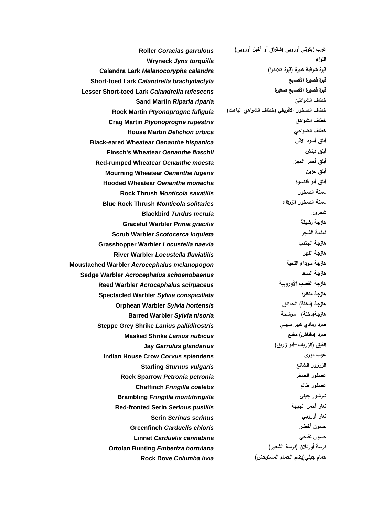**غراب زيتوني أوروبي )شقراق أو أخيل أوروبي(** *garrulous Coracias* **Roller Wryneck** *Jynx torquilla* **المواء Sand Martin** *Riparia riparia* **الشواطئ خطاف House Martin** *Delichon urbica* **الضواحي خطاف Blackbird** *Turdus merula* **شحرور Graceful Warbler** *Prinia gracilis* **رشيقة هازجة Barred Warbler** *Sylvia nisoria* **موشحة( دخمة)هازجة Masked Shrike** *Lanius nubicus* **مقنع( دقناش )صرد القيق )الزرياب-أبو زريق(** *glandarius Garrulus* **Jay Starling** *Sturnus vulgaris* **الشائع الزرزور Chaffinch** *Fringilla coelebs* **ظالم عصفور Serin** *Serinus serinus* **أوروبي نعار Greenfinch** *Carduelis chloris* **أخضر حسون Linnet** *Carduelis cannabina* **تفاحي حسون حمام جبمي)يضم الحمام المستوحش(** *livia Columba* **Dove Rock**

**قبرة شرقية كبيرة )قبرة كالندرا(** *calandra Melanocorypha* **Lark Calandra Short-toed Lark** *Calandrella brachydactyla* **األصابع قصيرة قبرة Lesser Short-toed Lark** *Calandrella rufescens* **صغيرة األصابع قصيرة قبرة خطاف الصخور األفريقي )خطاف الشواهق الباهت(** *fuligula Ptyonoprogne* **Martin Rock Crag Martin** *Ptyonoprogne rupestris* **الشواهق خطاف Black-eared Wheatear** *Oenanthe hispanica* **األذن أسود أبمق Finsch's Wheatear** *Oenanthe finschii* **فينش أبمق Red-rumped Wheatear** *Oenanthe moesta* **العجز أحمر أبمق Mourning Wheatear** *Oenanthe lugens* **حزين أبمق Hooded Wheatear** *Oenanthe monacha* **قمنسوة أبو أبمق Rock Thrush** *Monticola saxatilis* **الصخور سمنة Blue Rock Thrush** *Monticola solitaries* **الزرقاء الصخور سمنة Scrub Warbler** *Scotocerca inquieta* **الشجر نمنمة Grasshopper Warbler** *Locustella naevia* **الجندب هازجة River Warbler** *Locustella fluviatilis* **النهر هازجة Moustached Warbler** *Acrocephalus melanopogon* **المحية سوداء هازجة Sedge Warbler** *Acrocephalus schoenobaenus* **السعد هازجة Reed Warbler** *Acrocephalus scirpaceus* **األوروبية القصب هازجة Spectacled Warbler** *Sylvia conspicillata* **منظرة هازجة Orphean Warbler** *Sylvia hortensis* **الحدائق( دخمة )هازجة Steppe Grey Shrike** *Lanius pallidirostris* **سهمي كبير رمادي صرد Indian House Crow** *Corvus splendens* **دوري غراب Rock Sparrow** *Petronia petronia* **الصخر عصفور Brambling** *Fringilla montifringilla* **جبمي شرشور Red-fronted Serin** *Serinus pusillis* **الجبهة أحمر نعار درسة أورتالن )درسة الشعير(** *hortulana Emberiza* **Bunting Ortolan**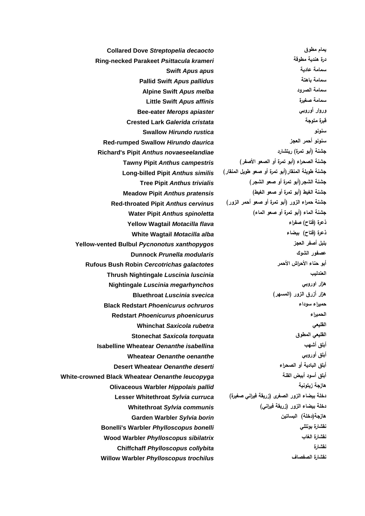**Collared Dove** *Streptopelia decaocto* **مطوق يمام Ring-necked Parakeet** *Psittacula krameri* **مطوقة هندية درة Pallid Swift** *Apus pallidus* **باهتة سمامة Alpine Swift** *Apus melba* **الصرود سمامة Little Swift** *Apus affinis* **صغيرة سمامة Bee-eater** *Merops apiaster* **أوروبي وروار Crested Lark** *Galerida cristata* **متوجة قبرة Swallow** *Hirundo rustica* **سنونو Red-rumped Swallow** *Hirundo daurica* **العجز أحمر سنونو Richard's Pipit** *Anthus novaeseelandiae* **ريتشارد( تمرة أبو )جشنة جشنة الصحراء )أبو تمرة أو الصعو األصفر(** *campestris Anthus* **Pipit Tawny جشنة طويمة المنقار)أبو تمرة أو صعو طويل المنقار(** *similis Anthus* **Pipit billed-Long جشنة الشجر)أبو تمرة أو صعو الشجر(** *trivialis Anthus* **Pipit Tree جشنة الغيط )أبو تمرة أو صعو الغيط(** *pratensis Anthus* **Pipit Meadow جشنة حمراء الزور )أبو تمرة أو صعو أحمر الزور(** *cervinus Anthus* **Pipit throated-Red جشنة الماء )أبو تمرة أو صعو الماء(** *spinoletta Anthus* **Pipit Water Yellow Wagtail** *Motacilla flava* **صفراء( فتاح )ذعرة White Wagtail** *Motacilla alba* **بيضاء( فتاح )ذعرة Yellow-vented Bulbul** *Pycnonotus xanthopygos* **العجز أصفر بمبل Dunnock** *Prunella modularis* **الشوك عصفور Rufous Bush Robin** *Cercotrichas galactotes* **األحمر األحراش حناء أبو Thrush Nightingale** *Luscinia luscinia* **العندليب Nightingale** *Luscinia megarhynchos* **اوروبي هزار هزار أزرق الزور )المسهر(** *svecica Luscinia* **Bluethroat Black Redstart** *Phoenicurus ochruros* **سوداء حميراء Redstart** *Phoenicurus phoenicurus* **الحميراء Whinchat** *Saxicola rubetra* **القميعي Stonechat** *Saxicola torquata* **المطوق القميعي Isabelline Wheatear** *Oenanthe isabellina* **أشهب أبمق Wheatear** *Oenanthe oenanthe* **أوروبي أبمق أبمق البادية أو الصحراء** *deserti Oenanthe* **Wheatear Desert White-crowned Black Wheatear** *Oenanthe leucopyga* **القنة أبيض أسود أبمق Olivaceous Warbler** *Hippolais pallid* **زيتونية هازجة دخمة بيضاء الزور الصغرى )زريقة فيراني صغيرة(** *curruca Sylvia* **Whitethroat Lesser دخمة بيضاء الزور )زريقة فيراني(** *communis Sylvia* **Whitethroat Garden Warbler** *Sylvia borin* **البساتين( دخمة)هازجة Bonelli's Warbler** *Phylloscopus bonelli* **بونممي نقشارة Wood Warbler** *Phylloscopus sibilatrix* **الغاب نقشارة Chiffchaff** *Phylloscopus collybita* **نقشارة Willow Warbler** *Phylloscopus trochilus* **الصفصاف نقشارة**

**Swift** *Apus apus* **عادية سمامة**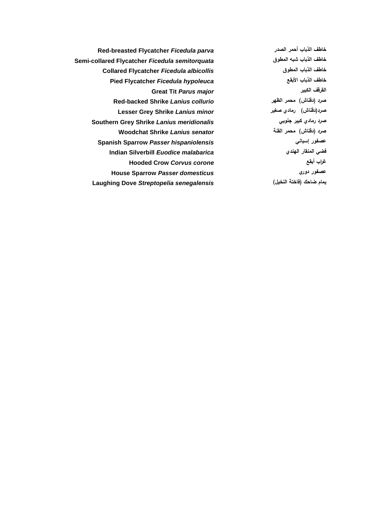**Red-breasted Flycatcher** *Ficedula parva* **الصدر أحمر الذباب خاطف Semi-collared Flycatcher** *Ficedula semitorquata* **المطوق شبه الذباب خاطف Collared Flycatcher** *Ficedula albicollis* **المطوق الذباب خاطف Pied Flycatcher** *Ficedula hypoleuca* **األبقع الذباب خاطف Great Tit** *Parus major* **الكبير القرقف Red-backed Shrike** *Lanius collurio* **الظهر محمر( دقناش )صرد Lesser Grey Shrike** *Lanius minor* **صغير رمادي( دقناش)صرد Southern Grey Shrike** *Lanius meridionalis* **جنوبي كبير رمادي صرد صرد )دقناش( محمر القنة** *senator Lanius* **Shrike Woodchat Spanish Sparrow** *Passer hispaniolensis* **إسباني عصفور Indian Silverbill** *Euodice malabarica* **الهندي المنقار فضي Hooded Crow** *Corvus corone* **أبقع غراب House Sparrow** *Passer domesticus* **دوري عصفور يمام ضاحك )فاختة النخيل(** *senegalensis Streptopelia* **Dove Laughing**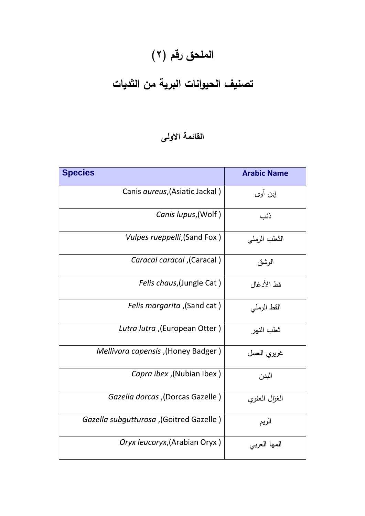# الملحق رقم (٢)

## **تصنيف الحيوانات البرية من الثديات**

#### **القائمة االولى**

| <b>Species</b>                                   | <b>Arabic Name</b> |
|--------------------------------------------------|--------------------|
| Canis aureus, (Asiatic Jackal)                   | إبن أوي            |
| Canis lupus, (Wolf)                              | ذئب                |
| Vulpes rueppelli, (Sand Fox)                     | الثعلب الرملي      |
| (Caracal caracal, (Caracal)                      | الوشق              |
| Felis chaus, (Jungle Cat)                        | قط الأدغال         |
| (Sand cat), <i>Felis margarita</i>               | القط الرملي        |
| Lutra lutra ,(European Otter)                    | ثعلب النهر         |
| (Honey Badger), Mellivora capensis               | غريري العسل        |
| Capra ibex ,(Nubian Ibex)                        | البدن              |
| Gazella dorcas ,(Dorcas Gazelle)                 | الغزال العفري      |
| (Goitred Gazella subgutturosa, (Goitred Gazelle) | الريم              |
| Oryx leucoryx, (Arabian Oryx)                    | المها العربي       |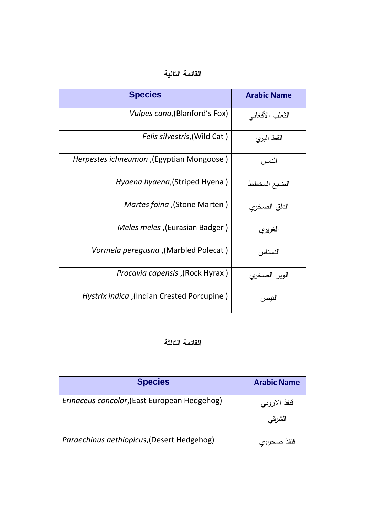#### **القائمة الثانية**

| <b>Species</b>                             | <b>Arabic Name</b> |
|--------------------------------------------|--------------------|
| <i>Vulpes cana</i> , (Blanford's Fox)      | الثعلب الأفغانبي   |
| <i>Felis silvestris</i> , (Wild Cat)       | القط البري         |
| Herpestes ichneumon, (Egyptian Mongoose)   | النمس              |
| Hyaena hyaena, (Striped Hyena)             | الضبع المخطط       |
| (Stone Marten), <i>Martes foina</i>        | الدلق الصخري       |
| Meles meles, (Eurasian Badger)             | الغريري            |
| (Marbled Polecat), Vormela peregusna       | النسناس            |
| (Rock Hyrax), <i>Procavia capensis</i>     | الوبر الصخري       |
| Hystrix indica ,(Indian Crested Porcupine) | النيص              |

#### **القائمة الثالثة**

| <b>Species</b>                               | <b>Arabic Name</b> |
|----------------------------------------------|--------------------|
| Erinaceus concolor, (East European Hedgehog) | قنفذ الاروبي       |
|                                              | الشرقى             |
| Paraechinus aethiopicus, (Desert Hedgehog)   | قذفد<br>صحراوي     |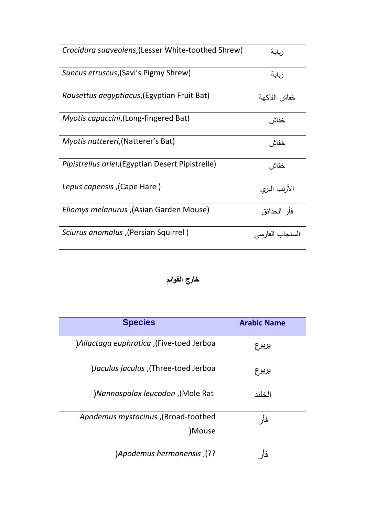| Crocidura suaveolens, (Lesser White-toothed Shrew)        | زبابة           |
|-----------------------------------------------------------|-----------------|
| Suncus etruscus, (Savi's Pigmy Shrew)                     | زبابة           |
| <i>Rousettus aegyptiacus</i> , (Egyptian Fruit Bat)       | خفاش الفاكهة    |
| <i>Myotis capaccini,</i> (Long-fingered Bat)              | خفاش            |
| <i>Myotis nattereri</i> , (Natterer's Bat)                | خفاش            |
| <i>Pipistrellus ariel</i> , (Egyptian Desert Pipistrelle) | خفاش            |
| (Cape Hare), Lepus capensis                               | الأرنب البري    |
| (Asian Garden Mouse), Eliomys melanurus                   | فأر الحدائق     |
| ( Persian Squirrel), Sciurus anomalus                     | السنجاب الفارسي |

#### **خارج القوائم**

| <b>Species</b>                                | <b>Arabic Name</b> |
|-----------------------------------------------|--------------------|
| Allactaga euphratica ,(Five-toed Jerboa       | يربوع              |
| Jaculus jaculus, (Three-toed Jerboa           | يربوع              |
| )Nannospalax leucodon, (Mole Rat              | الخلند             |
| Apodemus mystacinus ,(Broad-toothed<br>)Mouse | فأر                |
| )Apodemus hermonensis, (??)                   | فأر                |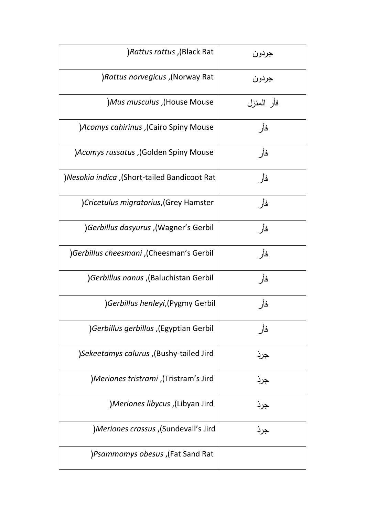| (Black Rat (Glack Rat                               | جردون      |
|-----------------------------------------------------|------------|
| )Rattus norvegicus ,(Norway Rat                     | جردون      |
| )Mus musculus ,(House Mouse                         | فأر المنزل |
| )Acomys cahirinus , (Cairo Spiny Mouse              | فأر        |
| )Acomys russatus , (Golden Spiny Mouse              | فأر        |
| )Nesokia indica ,(Short-tailed Bandicoot Rat        | فأر        |
| )Cricetulus migratorius, (Grey Hamster              | فأر        |
| )Gerbillus dasyurus ,(Wagner's Gerbil               | فأر        |
| )Gerbillus cheesmani ,(Cheesman's Gerbil            | فأر        |
| Gerbillus nanus ,(Baluchistan Gerbil                | فأر        |
| )Gerbillus henleyi, (Pygmy Gerbil                   | فأر        |
| (Egyptian Gerbillus gerbillus) (Serbillus gerbillus | فأر        |
| (Bushy-tailed Jird), Sekeetamys calurus             | جرد        |
| )Meriones tristrami ,(Tristram's Jird               | جر د       |
| (Libyan Jird), Meriones libycus(                    | جرد        |
| )Meriones crassus ,(Sundevall's Jird                | جر د       |
| Fat Sand Rat (Fat Sand Rat                          |            |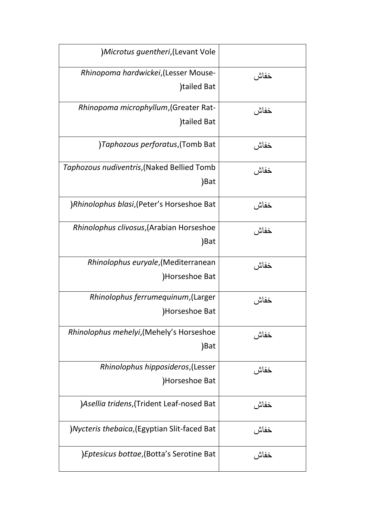| )Microtus guentheri, (Levant Vole                     |      |
|-------------------------------------------------------|------|
| Rhinopoma hardwickei, (Lesser Mouse-<br>tailed Bat    | خفاش |
| Rhinopoma microphyllum, (Greater Rat-<br>)tailed Bat  | خفاش |
| )Taphozous perforatus, (Tomb Bat                      | خفاش |
| Taphozous nudiventris, (Naked Bellied Tomb<br>)Bat    | خفاش |
| )Rhinolophus blasi, (Peter's Horseshoe Bat            | خفاش |
| Rhinolophus clivosus, (Arabian Horseshoe<br>)Bat      | خفاش |
| Rhinolophus euryale, (Mediterranean<br>)Horseshoe Bat | خفاش |
| Rhinolophus ferrumequinum, (Larger<br>Horseshoe Bat   | خفاش |
| Rhinolophus mehelyi, (Mehely's Horseshoe<br>)Bat      | خفاش |
| Rhinolophus hipposideros, (Lesser<br>Horseshoe Bat    | خفاش |
| )Asellia tridens, (Trident Leaf-nosed Bat             | خفاش |
| )Nycteris thebaica, (Egyptian Slit-faced Bat          | خفاش |
| )Eptesicus bottae, (Botta's Serotine Bat              | خفاش |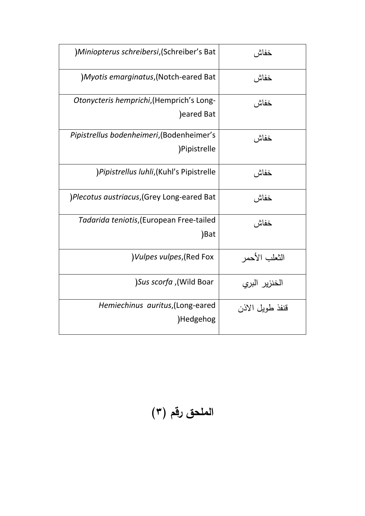| )Miniopterus schreibersi, (Schreiber's Bat                | خفاش            |
|-----------------------------------------------------------|-----------------|
| ) Myotis emarginatus, (Notch-eared Bat                    | خفاش            |
| Otonycteris hemprichi, (Hemprich's Long-<br>)eared Bat    | خفاش            |
| Pipistrellus bodenheimeri, (Bodenheimer's<br>)Pipistrelle | خفاش            |
| )Pipistrellus luhli, (Kuhl's Pipistrelle                  | خفاش            |
| )Plecotus austriacus, (Grey Long-eared Bat                | خفاش            |
| Tadarida teniotis, (European Free-tailed<br>)Bat          | خفاش            |
| )Vulpes vulpes, (Red Fox                                  | الثعلب الأحمر   |
| )Sus scorfa ,(Wild Boar                                   | الخنزير البري   |
| Hemiechinus auritus, (Long-eared<br>Hedgehog              | قنفذ طويل الاذن |

**الممحق رقم )3(**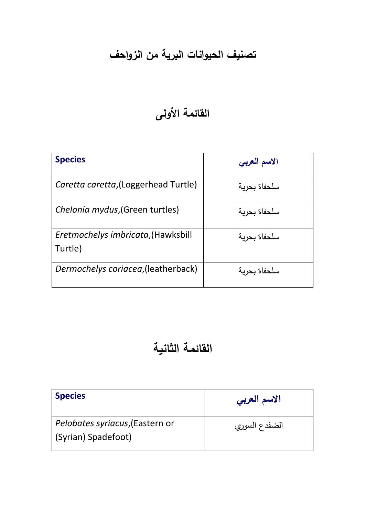## **تصنيف الحيوانات البرية من الزواحف**

## **القائمة األولى**

| <b>Species</b>                                | الاسم العربي |
|-----------------------------------------------|--------------|
| Caretta caretta, (Loggerhead Turtle)          | سلحفاة بحرية |
| Chelonia mydus, (Green turtles)               | سلحفاة بحرية |
| Eretmochelys imbricata, (Hawksbill<br>Turtle) | سلحفاة بحرية |
| Dermochelys coriacea, (leatherback)           | سلحفاة بحربة |

## **القائمة الثانية**

| <b>Species</b>                                         | الاسم العربي  |
|--------------------------------------------------------|---------------|
| Pelobates syriacus, (Eastern or<br>(Syrian) Spadefoot) | الضفدع السوري |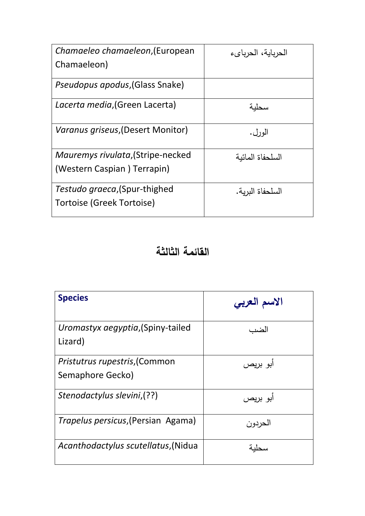| Chamaeleo chamaeleon, (European          | الحرباية، الحربايء |
|------------------------------------------|--------------------|
| Chamaeleon)                              |                    |
| <i>Pseudopus apodus</i> , (Glass Snake)  |                    |
| Lacerta media, (Green Lacerta)           | سحلنة              |
| <i>Varanus griseus,</i> (Desert Monitor) | الورل.             |
| Mauremys rivulata, (Stripe-necked        | السلحفاة المائبة   |
| (Western Caspian) Terrapin)              |                    |
| Testudo graeca, (Spur-thighed            | السلحفاة البربة.   |
| <b>Tortoise (Greek Tortoise)</b>         |                    |

#### **القائمة الثالثة**

| <b>Species</b>                                    | الاسم العربي |
|---------------------------------------------------|--------------|
| Uromastyx aegyptia, (Spiny-tailed<br>Lizard)      | الضد         |
| Pristutrus rupestris, (Common<br>Semaphore Gecko) | ابو بریص     |
| Stenodactylus slevini,(??)                        | أبو بريص     |
| Trapelus persicus, (Persian Agama)                | الحردون      |
| Acanthodactylus scutellatus, (Nidua               |              |